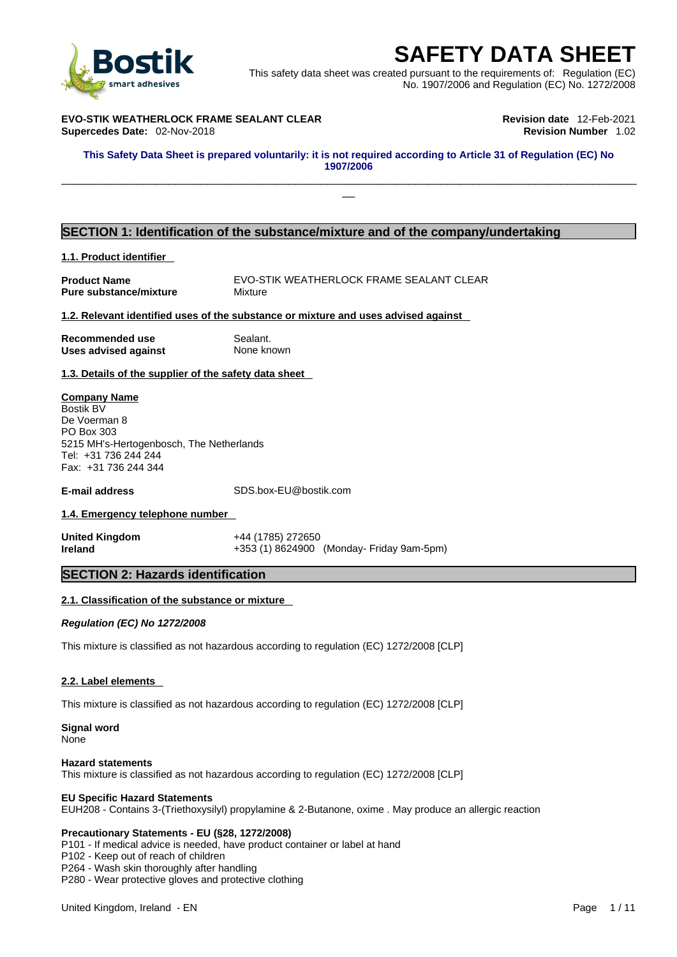

**SAFETY DATA SHEET**<br>
Et was created pursuant to the requirements of: Regulation (EC)<br>
No. 1907/2006 and Regulation (EC) No. 1272/2008<br>
Revision date 12-Feb-2021<br>
Revision Number 1.02<br>
of required according to Article 31 of This safety data sheet was created pursuant to the requirements of: Regulation (EC) No. 1907/2006 and Regulation (EC) No. 1272/2008

 $\Box$ 

**EVO-STIK WEATHERLOCK FRAME SEALANT CLEAR Revision date** 12-Feb-2021 **Supercedes Date: 02-Nov-2018** 

This Safety Data Sheet is prepared voluntarily: it is not required according to Article 31 of Regulation (EC) No **1907/2006** 

## **SECTION 1: Identification of the substance/mixture and of the company/undertaking**

#### **1.1. Product identifier**

**Pure substance/mixture Mixture** 

**Product Name EVO-STIK WEATHERLOCK FRAME SEALANT CLEAR** 

**1.2. Relevant identified uses of the substance or mixture and uses advised against**

**Recommended use** Sealant. **Uses advised against** None known

**1.3. Details of the supplier of the safety data sheet**

#### **Company Name**

Bostik BV De Voerman 8 PO Box 303 5215 MH's-Hertogenbosch, The Netherlands Tel: +31 736 244 244 Fax: +31 736 244 344

**E-mail address** SDS.box-EU@bostik.com

#### **1.4. Emergency telephone number**

**United Kingdom** +44 (1785) 272650

**Ireland** +353 (1) 8624900 (Monday- Friday 9am-5pm)

#### **SECTION 2: Hazards identification**

#### **2.1. Classification of the substance or mixture**

*Regulation (EC) No 1272/2008* 

This mixture is classified as not hazardous according to regulation (EC) 1272/2008 [CLP]

#### **2.2. Label elements**

This mixture is classified as not hazardous according to regulation (EC) 1272/2008 [CLP]

**Signal word None** 

#### **Hazard statements**

This mixture is classified as not hazardous according to regulation (EC) 1272/2008 [CLP]

#### **EU Specific Hazard Statements**

EUH208 - Contains 3-(Triethoxysilyl) propylamine & 2-Butanone, oxime . May produce an allergic reaction

#### **Precautionary Statements - EU (§28, 1272/2008)**

P101 - If medical advice is needed, have product container or label at hand

P102 - Keep out of reach of children

P264 - Wash skin thoroughly after handling

P280 - Wear protective gloves and protective clothing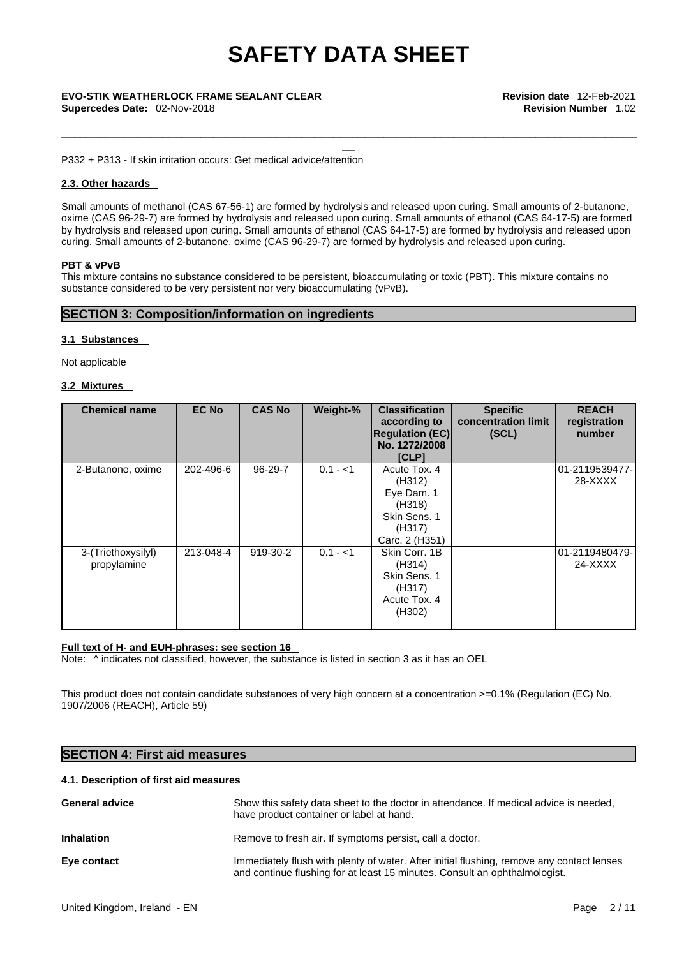\_\_\_\_\_\_\_\_\_\_\_\_\_\_\_\_\_\_\_\_\_\_\_\_\_\_\_\_\_\_\_\_\_\_\_\_\_\_\_\_\_\_\_\_\_\_\_\_\_\_\_\_\_\_\_\_\_\_\_\_\_\_\_\_\_\_\_\_\_\_\_\_\_\_\_\_\_\_\_\_\_\_\_\_\_\_\_\_\_\_\_

P332 + P313 - If skin irritation occurs: Get medical advice/attention

#### **2.3. Other hazards**

Small amounts of methanol (CAS 67-56-1) are formed by hydrolysis and released upon curing. Small amounts of 2-butanone, oxime (CAS 96-29-7) are formed by hydrolysis and released upon curing. Small amounts of ethanol (CAS 64-17-5) are formed by hydrolysis and released upon curing. Small amounts of ethanol (CAS 64-17-5) are formed by hydrolysis and released upon curing. Small amounts of 2-butanone, oxime (CAS 96-29-7) are formed by hydrolysis and released upon curing.

#### **PBT & vPvB**

This mixture contains no substance considered to be persistent, bioaccumulating or toxic (PBT). This mixture contains no substance considered to be very persistent nor very bioaccumulating (vPvB).

### **SECTION 3: Composition/information on ingredients**

#### **3.1 Substances**

Not applicable

#### **3.2 Mixtures**

| <b>Chemical name</b>              | <b>EC No</b> | <b>CAS No</b> | Weight-%  | <b>Classification</b><br>according to<br><b>Regulation (EC)</b><br>No. 1272/2008<br><b>[CLP]</b> | <b>Specific</b><br>concentration limit<br>(SCL) | <b>REACH</b><br>registration<br>number |
|-----------------------------------|--------------|---------------|-----------|--------------------------------------------------------------------------------------------------|-------------------------------------------------|----------------------------------------|
| 2-Butanone, oxime                 | 202-496-6    | 96-29-7       | $0.1 - 1$ | Acute Tox. 4<br>(H312)<br>Eye Dam. 1<br>(H318)<br>Skin Sens, 1<br>(H317)<br>Carc. 2 (H351)       |                                                 | 01-2119539477-<br>28-XXXX              |
| 3-(Triethoxysilyl)<br>propylamine | 213-048-4    | 919-30-2      | $0.1 - 1$ | Skin Corr. 1B<br>(H314)<br>Skin Sens. 1<br>(H317)<br>Acute Tox. 4<br>(H302)                      |                                                 | 01-2119480479-<br>24-XXXX              |

#### **Full text of H- and EUH-phrases: see section 16**

Note:  $\wedge$  indicates not classified, however, the substance is listed in section 3 as it has an OEL

This product does not contain candidate substances of very high concern at a concentration >=0.1% (Regulation (EC) No. 1907/2006 (REACH), Article 59)

## **SECTION 4: First aid measures**

#### **4.1. Description of first aid measures**

| <b>General advice</b> | Show this safety data sheet to the doctor in attendance. If medical advice is needed,<br>have product container or label at hand.                                       |
|-----------------------|-------------------------------------------------------------------------------------------------------------------------------------------------------------------------|
| <b>Inhalation</b>     | Remove to fresh air. If symptoms persist, call a doctor.                                                                                                                |
| Eye contact           | Immediately flush with plenty of water. After initial flushing, remove any contact lenses<br>and continue flushing for at least 15 minutes. Consult an ophthalmologist. |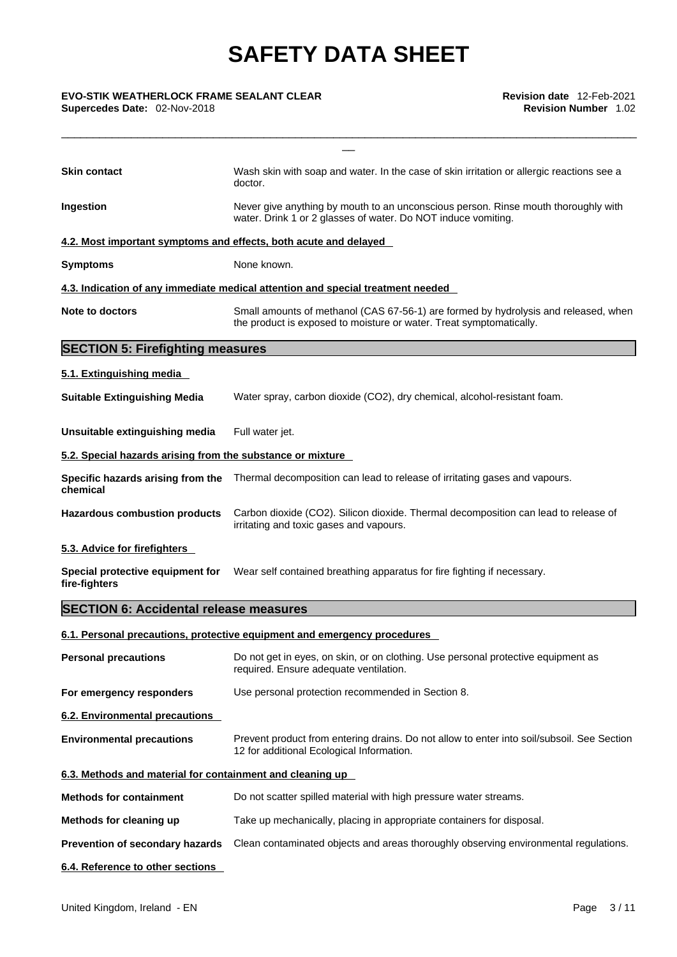\_\_\_\_\_\_\_\_\_\_\_\_\_\_\_\_\_\_\_\_\_\_\_\_\_\_\_\_\_\_\_\_\_\_\_\_\_\_\_\_\_\_\_\_\_\_\_\_\_\_\_\_\_\_\_\_\_\_\_\_\_\_\_\_\_\_\_\_\_\_\_\_\_\_\_\_\_\_\_\_\_\_\_\_\_\_\_\_\_\_\_

| <b>Skin contact</b>                                              | Wash skin with soap and water. In the case of skin irritation or allergic reactions see a<br>doctor.                                                       |  |  |
|------------------------------------------------------------------|------------------------------------------------------------------------------------------------------------------------------------------------------------|--|--|
| Ingestion                                                        | Never give anything by mouth to an unconscious person. Rinse mouth thoroughly with<br>water. Drink 1 or 2 glasses of water. Do NOT induce vomiting.        |  |  |
| 4.2. Most important symptoms and effects, both acute and delayed |                                                                                                                                                            |  |  |
| <b>Symptoms</b>                                                  | None known.                                                                                                                                                |  |  |
|                                                                  | 4.3. Indication of any immediate medical attention and special treatment needed                                                                            |  |  |
| Note to doctors                                                  | Small amounts of methanol (CAS 67-56-1) are formed by hydrolysis and released, when<br>the product is exposed to moisture or water. Treat symptomatically. |  |  |
| <b>SECTION 5: Firefighting measures</b>                          |                                                                                                                                                            |  |  |
| 5.1. Extinguishing media                                         |                                                                                                                                                            |  |  |
| <b>Suitable Extinguishing Media</b>                              | Water spray, carbon dioxide (CO2), dry chemical, alcohol-resistant foam.                                                                                   |  |  |
| Unsuitable extinguishing media                                   | Full water jet.                                                                                                                                            |  |  |
| 5.2. Special hazards arising from the substance or mixture       |                                                                                                                                                            |  |  |
| chemical                                                         | <b>Specific hazards arising from the</b> Thermal decomposition can lead to release of irritating gases and vapours.                                        |  |  |
| <b>Hazardous combustion products</b>                             | Carbon dioxide (CO2). Silicon dioxide. Thermal decomposition can lead to release of<br>irritating and toxic gases and vapours.                             |  |  |
| 5.3. Advice for firefighters                                     |                                                                                                                                                            |  |  |
| Special protective equipment for<br>fire-fighters                | Wear self contained breathing apparatus for fire fighting if necessary.                                                                                    |  |  |
| <b>SECTION 6: Accidental release measures</b>                    |                                                                                                                                                            |  |  |
|                                                                  | 6.1. Personal precautions, protective equipment and emergency procedures                                                                                   |  |  |
| <b>Personal precautions</b>                                      | Do not get in eyes, on skin, or on clothing. Use personal protective equipment as<br>required. Ensure adequate ventilation.                                |  |  |
| For emergency responders                                         | Use personal protection recommended in Section 8.                                                                                                          |  |  |
| 6.2. Environmental precautions                                   |                                                                                                                                                            |  |  |
| <b>Environmental precautions</b>                                 | Prevent product from entering drains. Do not allow to enter into soil/subsoil. See Section<br>12 for additional Ecological Information.                    |  |  |
| 6.3. Methods and material for containment and cleaning up        |                                                                                                                                                            |  |  |
| <b>Methods for containment</b>                                   | Do not scatter spilled material with high pressure water streams.                                                                                          |  |  |
| Methods for cleaning up                                          | Take up mechanically, placing in appropriate containers for disposal.                                                                                      |  |  |
| Prevention of secondary hazards                                  | Clean contaminated objects and areas thoroughly observing environmental regulations.                                                                       |  |  |
|                                                                  |                                                                                                                                                            |  |  |

**6.4. Reference to other sections**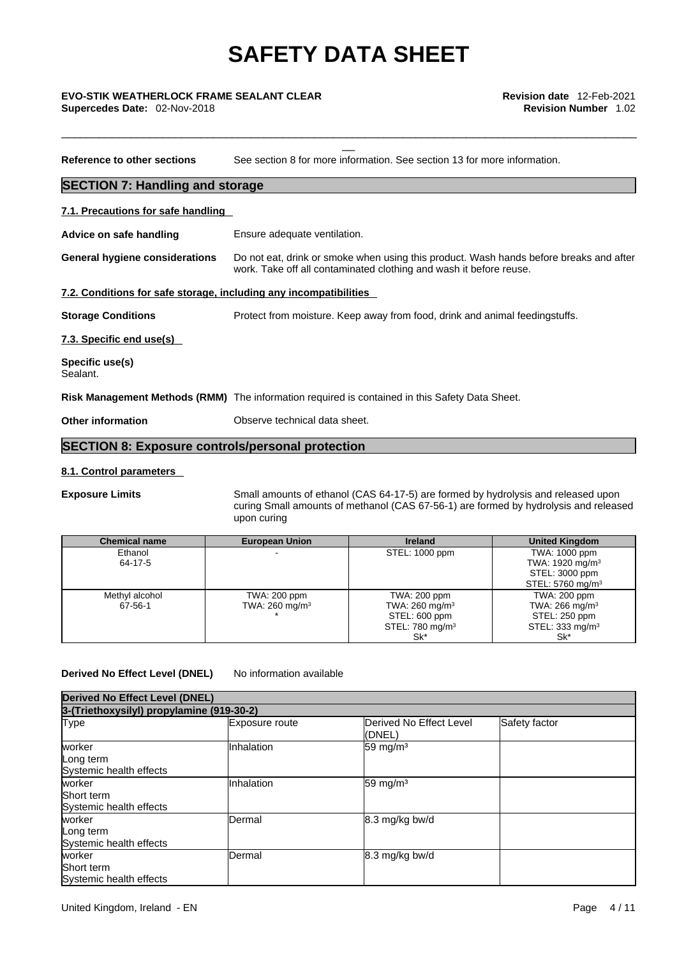\_\_\_\_\_\_\_\_\_\_\_\_\_\_\_\_\_\_\_\_\_\_\_\_\_\_\_\_\_\_\_\_\_\_\_\_\_\_\_\_\_\_\_\_\_\_\_\_\_\_\_\_\_\_\_\_\_\_\_\_\_\_\_\_\_\_\_\_\_\_\_\_\_\_\_\_\_\_\_\_\_\_\_\_\_\_\_\_\_\_\_

**Supercedes Date:** 02-Nov-2018 **Revision Number** 1.02

**Reference to other sections** See section 8 for more information. See section 13 for more information. **SECTION 7: Handling and storage 7.1. Precautions for safe handling Advice on safe handling** Ensure adequate ventilation. **General hygiene considerations** Do not eat, drink or smoke when using this product. Wash hands before breaks and after work. Take off all contaminated clothing and wash it before reuse. **7.2. Conditions for safe storage, including any incompatibilities Storage Conditions** Protect from moisture. Keep away from food, drink and animal feedingstuffs. **7.3. Specific end use(s) Specific use(s)** Sealant. **Risk Management Methods (RMM)** The information required is contained in this Safety Data Sheet. **Other information Observe technical data sheet. SECTION 8: Exposure controls/personal protection**

#### **8.1. Control parameters**

**Exposure Limits** Small amounts of ethanol (CAS 64-17-5) are formed by hydrolysis and released upon curing Small amounts of methanol (CAS 67-56-1) are formed by hydrolysis and released upon curing

| <b>Chemical name</b> | <b>European Union</b>     | <b>Ireland</b>              | <b>United Kingdom</b>        |
|----------------------|---------------------------|-----------------------------|------------------------------|
| Ethanol              |                           | STEL: 1000 ppm              | TWA: 1000 ppm                |
| 64-17-5              |                           |                             | TWA: 1920 mg/m <sup>3</sup>  |
|                      |                           |                             | STEL: 3000 ppm               |
|                      |                           |                             | STEL: 5760 mg/m <sup>3</sup> |
| Methyl alcohol       | TWA: 200 ppm              | TWA: 200 ppm                | TWA: 200 ppm                 |
| 67-56-1              | TWA: $260 \text{ mg/m}^3$ | TWA: $260 \text{ mg/m}^3$   | TWA: $266$ mg/m <sup>3</sup> |
|                      |                           | STEL: 600 ppm               | STEL: 250 ppm                |
|                      |                           | STEL: 780 mg/m <sup>3</sup> | STEL: 333 mg/m <sup>3</sup>  |
|                      |                           | Sk*                         | Sk*                          |

#### **Derived No Effect Level (DNEL)** No information available

| <b>Derived No Effect Level (DNEL)</b><br>3-(Triethoxysilyl) propylamine (919-30-2) |            |                     |  |  |
|------------------------------------------------------------------------------------|------------|---------------------|--|--|
|                                                                                    |            |                     |  |  |
| worker<br>Long term<br>Systemic health effects                                     | Inhalation | $59 \text{ mg/m}^3$ |  |  |
| worker<br>Short term<br>Systemic health effects                                    | Inhalation | 59 mg/m $3$         |  |  |
| worker<br>Long term<br>Systemic health effects                                     | IDermal    | 8.3 mg/kg bw/d      |  |  |
| worker<br><b>Short term</b><br>Systemic health effects                             | Dermal     | 8.3 mg/kg bw/d      |  |  |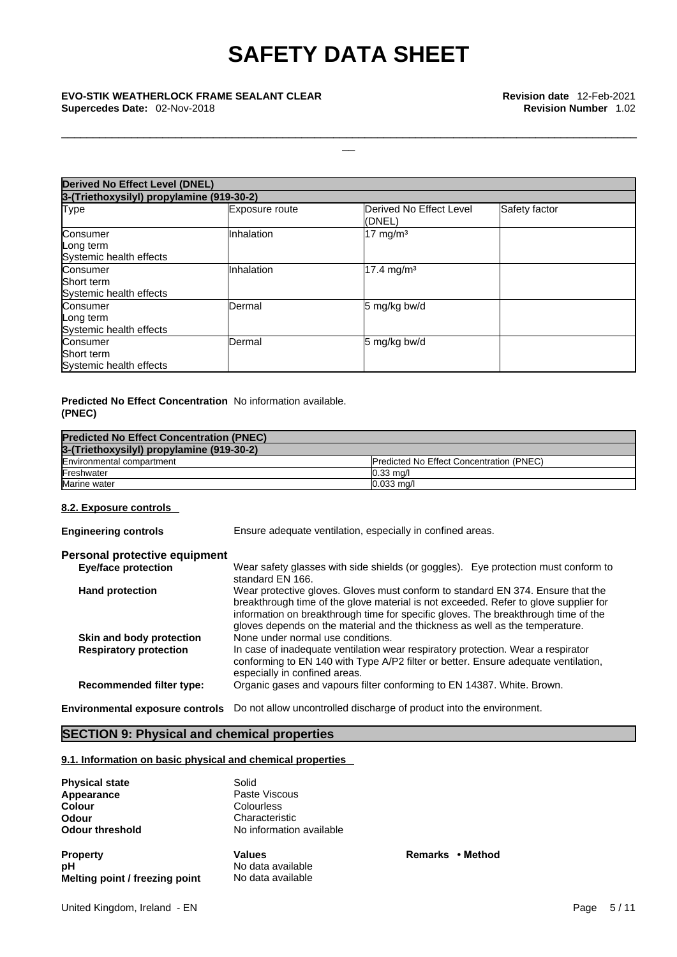\_\_\_\_\_\_\_\_\_\_\_\_\_\_\_\_\_\_\_\_\_\_\_\_\_\_\_\_\_\_\_\_\_\_\_\_\_\_\_\_\_\_\_\_\_\_\_\_\_\_\_\_\_\_\_\_\_\_\_\_\_\_\_\_\_\_\_\_\_\_\_\_\_\_\_\_\_\_\_\_\_\_\_\_\_\_\_\_\_\_\_

| <b>Derived No Effect Level (DNEL)</b>             |                |                                   |               |  |
|---------------------------------------------------|----------------|-----------------------------------|---------------|--|
| 3-(Triethoxysilyl) propylamine (919-30-2)         |                |                                   |               |  |
| Type                                              | Exposure route | Derived No Effect Level<br>(DNEL) | Safety factor |  |
| Consumer<br>Long term<br>Systemic health effects  | Inhalation     | 17 mg/m <sup>3</sup>              |               |  |
| Consumer<br>Short term<br>Systemic health effects | Inhalation     | 17.4 mg/m <sup>3</sup>            |               |  |
| Consumer<br>Long term<br>Systemic health effects  | Dermal         | 5 mg/kg bw/d                      |               |  |
| Consumer<br>Short term<br>Systemic health effects | Dermal         | 5 mg/kg bw/d                      |               |  |

#### **Predicted No Effect Concentration** No information available. **(PNEC)**

| <b>Predicted No Effect Concentration (PNEC)</b> |                                                  |  |
|-------------------------------------------------|--------------------------------------------------|--|
| 3-(Triethoxysilyl) propylamine (919-30-2)       |                                                  |  |
| Environmental compartment                       | <b>IPredicted No Effect Concentration (PNEC)</b> |  |
| Freshwater                                      | $0.33 \text{ ma/l}$                              |  |
| Marine water                                    | $0.033$ mg/l                                     |  |

#### **8.2. Exposure controls**

**Engineering controls** Ensure adequate ventilation, especially in confined areas.

**Property Values Remarks • Method**

## **Personal protective equipment**

| <b>Eye/face protection</b>      | Wear safety glasses with side shields (or goggles). Eye protection must conform to<br>standard EN 166.                                                                                                                                                                                                                                        |
|---------------------------------|-----------------------------------------------------------------------------------------------------------------------------------------------------------------------------------------------------------------------------------------------------------------------------------------------------------------------------------------------|
| <b>Hand protection</b>          | Wear protective gloves. Gloves must conform to standard EN 374. Ensure that the<br>breakthrough time of the glove material is not exceeded. Refer to glove supplier for<br>information on breakthrough time for specific gloves. The breakthrough time of the<br>gloves depends on the material and the thickness as well as the temperature. |
| Skin and body protection        | None under normal use conditions.                                                                                                                                                                                                                                                                                                             |
| <b>Respiratory protection</b>   | In case of inadequate ventilation wear respiratory protection. Wear a respirator<br>conforming to EN 140 with Type A/P2 filter or better. Ensure adequate ventilation,<br>especially in confined areas.                                                                                                                                       |
| <b>Recommended filter type:</b> | Organic gases and vapours filter conforming to EN 14387. White. Brown.                                                                                                                                                                                                                                                                        |
|                                 |                                                                                                                                                                                                                                                                                                                                               |

**Environmental exposure controls** Do not allow uncontrolled discharge of product into the environment.

## **SECTION 9: Physical and chemical properties**

#### **9.1. Information on basic physical and chemical properties**

| <b>Physical state</b>          | Solid                    |
|--------------------------------|--------------------------|
| Appearance                     | Paste Viscous            |
| Colour                         | Colourless               |
| Odour                          | Characteristic           |
| <b>Odour threshold</b>         | No information available |
| <b>Property</b>                | <b>Values</b>            |
| рH                             | No data available        |
| Melting point / freezing point | No data available        |

United Kingdom, Ireland - EN Page 5 / 11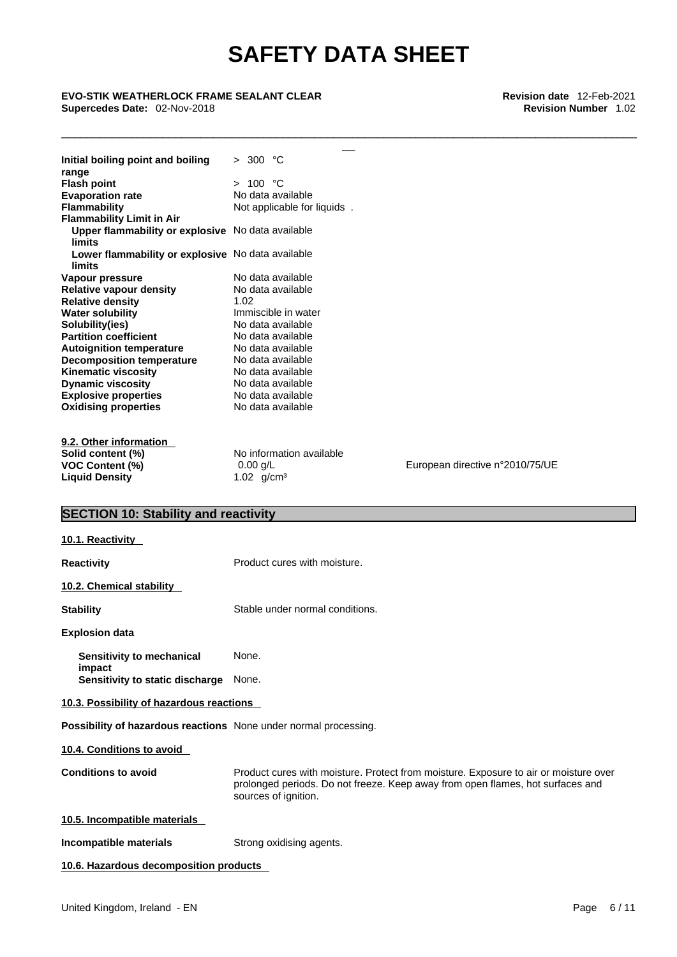\_\_\_\_\_\_\_\_\_\_\_\_\_\_\_\_\_\_\_\_\_\_\_\_\_\_\_\_\_\_\_\_\_\_\_\_\_\_\_\_\_\_\_\_\_\_\_\_\_\_\_\_\_\_\_\_\_\_\_\_\_\_\_\_\_\_\_\_\_\_\_\_\_\_\_\_\_\_\_\_\_\_\_\_\_\_\_\_\_\_\_

# **Supercedes Date:** 02-Nov-2018 **Revision Number** 1.02

| <b>EVO-STIK WEATHERLOCK FRAME SEALANT CLEAR</b><br>Supercedes Date: 02-Nov-2018 |                                 | Revision date 12-Feb-2021<br><b>Revision Number 1.02</b>                                                                                                               |
|---------------------------------------------------------------------------------|---------------------------------|------------------------------------------------------------------------------------------------------------------------------------------------------------------------|
| Initial boiling point and boiling                                               | > 300 °C                        |                                                                                                                                                                        |
| range                                                                           |                                 |                                                                                                                                                                        |
| <b>Flash point</b>                                                              | > 100 °C                        |                                                                                                                                                                        |
| <b>Evaporation rate</b>                                                         | No data available               |                                                                                                                                                                        |
| <b>Flammability</b>                                                             | Not applicable for liquids.     |                                                                                                                                                                        |
| <b>Flammability Limit in Air</b>                                                |                                 |                                                                                                                                                                        |
| Upper flammability or explosive No data available                               |                                 |                                                                                                                                                                        |
| limits<br>Lower flammability or explosive No data available<br><b>limits</b>    |                                 |                                                                                                                                                                        |
| Vapour pressure                                                                 | No data available               |                                                                                                                                                                        |
| <b>Relative vapour density</b>                                                  | No data available               |                                                                                                                                                                        |
| <b>Relative density</b>                                                         | 1.02                            |                                                                                                                                                                        |
| <b>Water solubility</b>                                                         | Immiscible in water             |                                                                                                                                                                        |
| Solubility(ies)                                                                 | No data available               |                                                                                                                                                                        |
| <b>Partition coefficient</b>                                                    | No data available               |                                                                                                                                                                        |
| <b>Autoignition temperature</b>                                                 | No data available               |                                                                                                                                                                        |
| <b>Decomposition temperature</b>                                                | No data available               |                                                                                                                                                                        |
| <b>Kinematic viscosity</b>                                                      | No data available               |                                                                                                                                                                        |
| <b>Dynamic viscosity</b>                                                        | No data available               |                                                                                                                                                                        |
| <b>Explosive properties</b>                                                     | No data available               |                                                                                                                                                                        |
| <b>Oxidising properties</b>                                                     | No data available               |                                                                                                                                                                        |
| 9.2. Other information                                                          |                                 |                                                                                                                                                                        |
| Solid content (%)                                                               | No information available        |                                                                                                                                                                        |
| <b>VOC Content (%)</b>                                                          | $0.00$ g/L                      | European directive n°2010/75/UE                                                                                                                                        |
| <b>Liquid Density</b>                                                           | 1.02 $g/cm^3$                   |                                                                                                                                                                        |
| <b>SECTION 10: Stability and reactivity</b>                                     |                                 |                                                                                                                                                                        |
| 10.1. Reactivity                                                                |                                 |                                                                                                                                                                        |
|                                                                                 |                                 |                                                                                                                                                                        |
| <b>Reactivity</b>                                                               | Product cures with moisture.    |                                                                                                                                                                        |
| 10.2. Chemical stability                                                        |                                 |                                                                                                                                                                        |
| <b>Stability</b>                                                                | Stable under normal conditions. |                                                                                                                                                                        |
| <b>Explosion data</b>                                                           |                                 |                                                                                                                                                                        |
| Sensitivity to mechanical<br>impact                                             | None.                           |                                                                                                                                                                        |
| <b>Sensitivity to static discharge</b>                                          | None.                           |                                                                                                                                                                        |
| 10.3. Possibility of hazardous reactions                                        |                                 |                                                                                                                                                                        |
| Possibility of hazardous reactions None under normal processing.                |                                 |                                                                                                                                                                        |
| 10.4. Conditions to avoid                                                       |                                 |                                                                                                                                                                        |
| <b>Conditions to avoid</b>                                                      | sources of ignition.            | Product cures with moisture. Protect from moisture. Exposure to air or moisture over<br>prolonged periods. Do not freeze. Keep away from open flames, hot surfaces and |
| 10.5. Incompatible materials                                                    |                                 |                                                                                                                                                                        |
| Incompatible materials                                                          | Strong oxidising agents.        |                                                                                                                                                                        |
| 10.6. Hazardous decomposition products                                          |                                 |                                                                                                                                                                        |
|                                                                                 |                                 |                                                                                                                                                                        |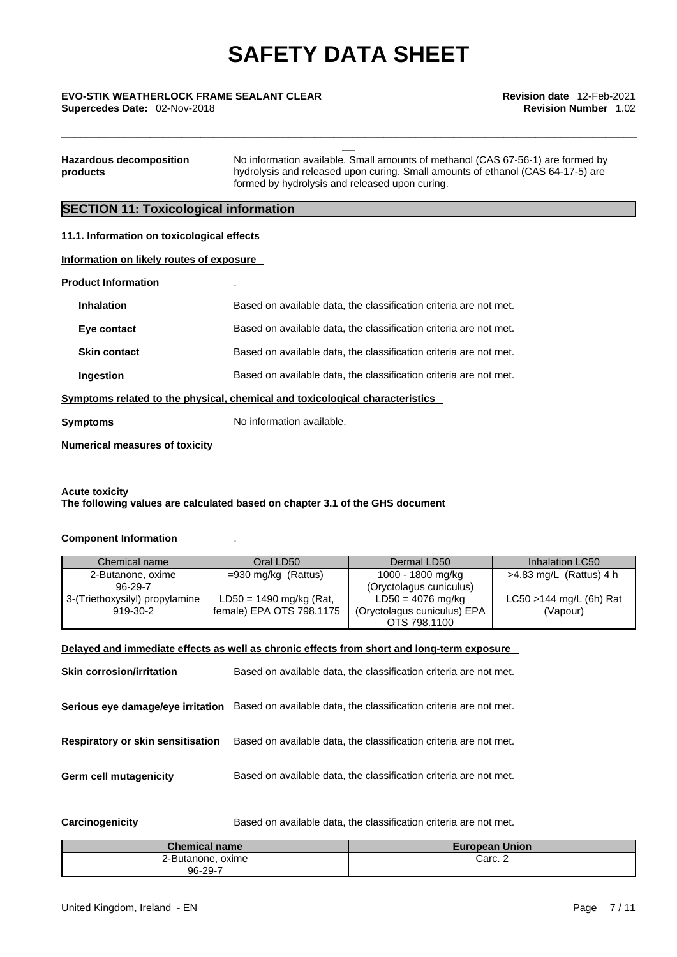\_\_\_\_\_\_\_\_\_\_\_\_\_\_\_\_\_\_\_\_\_\_\_\_\_\_\_\_\_\_\_\_\_\_\_\_\_\_\_\_\_\_\_\_\_\_\_\_\_\_\_\_\_\_\_\_\_\_\_\_\_\_\_\_\_\_\_\_\_\_\_\_\_\_\_\_\_\_\_\_\_\_\_\_\_\_\_\_\_\_\_

# \_\_ **EVO-STIK WEATHERLOCK FRAME SEALANT CLEAR Revision date** 12-Feb-2021

**Supercedes Date:** 02-Nov-2018 **Revision Number** 1.02

| <b>Hazardous decomposition</b> | No information available. Small amounts of methanol (CAS 67-56-1) are formed by |
|--------------------------------|---------------------------------------------------------------------------------|
| products                       | hydrolysis and released upon curing. Small amounts of ethanol (CAS 64-17-5) are |
|                                | formed by hydrolysis and released upon curing.                                  |

## **SECTION 11: Toxicological information**

| 11.1. Information on toxicological effects                                   |                                                                   |  |
|------------------------------------------------------------------------------|-------------------------------------------------------------------|--|
| Information on likely routes of exposure                                     |                                                                   |  |
| <b>Product Information</b>                                                   |                                                                   |  |
| <b>Inhalation</b>                                                            | Based on available data, the classification criteria are not met. |  |
| Eye contact                                                                  | Based on available data, the classification criteria are not met. |  |
| <b>Skin contact</b>                                                          | Based on available data, the classification criteria are not met. |  |
| Ingestion                                                                    | Based on available data, the classification criteria are not met. |  |
| Symptoms related to the physical, chemical and toxicological characteristics |                                                                   |  |
| <b>Symptoms</b>                                                              | No information available.                                         |  |

**Numerical measures of toxicity**

#### **Acute toxicity The following values are calculated based on chapter 3.1 of the GHS document**

#### **Component Information** .

| Chemical name                  | Oral LD50                 | Dermal LD50                 | Inhalation LC50            |
|--------------------------------|---------------------------|-----------------------------|----------------------------|
| 2-Butanone, oxime              | $=930$ mg/kg (Rattus)     | 1000 - 1800 mg/kg           | >4.83 mg/L (Rattus) 4 h    |
| $96 - 29 - 7$                  |                           | (Oryctolagus cuniculus)     |                            |
| 3-(Triethoxysilyl) propylamine | $LD50 = 1490$ mg/kg (Rat, | LD50 = 4076 mg/kg           | $LC50 > 144$ mg/L (6h) Rat |
| 919-30-2                       | female) EPA OTS 798.1175  | (Oryctolagus cuniculus) EPA | (Vapour)                   |
|                                |                           | OTS 798,1100                |                            |

#### **Delayed and immediate effects as well as chronic effects from short and long-term exposure**

| Based on available data, the classification criteria are not met.                                   |
|-----------------------------------------------------------------------------------------------------|
| Serious eye damage/eye irritation Based on available data, the classification criteria are not met. |
| Based on available data, the classification criteria are not met.                                   |
| Based on available data, the classification criteria are not met.                                   |
|                                                                                                     |

**Carcinogenicity** Based on available data, the classification criteria are not met.

| <b>Chemical name</b>         | <b>European Union</b> |
|------------------------------|-----------------------|
| 2-Butanone, oxime<br>96-29-7 | Carc. <sub>-</sub>    |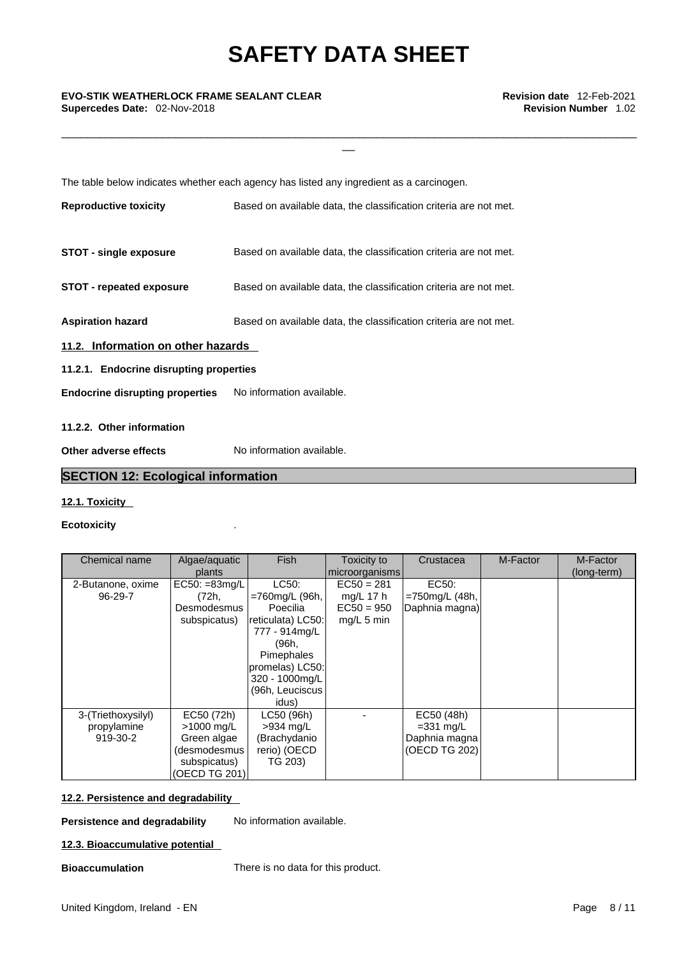\_\_\_\_\_\_\_\_\_\_\_\_\_\_\_\_\_\_\_\_\_\_\_\_\_\_\_\_\_\_\_\_\_\_\_\_\_\_\_\_\_\_\_\_\_\_\_\_\_\_\_\_\_\_\_\_\_\_\_\_\_\_\_\_\_\_\_\_\_\_\_\_\_\_\_\_\_\_\_\_\_\_\_\_\_\_\_\_\_\_\_

The table below indicates whether each agency has listed any ingredient as a carcinogen.

| <b>Reproductive toxicity</b>                                     | Based on available data, the classification criteria are not met. |  |  |
|------------------------------------------------------------------|-------------------------------------------------------------------|--|--|
| <b>STOT - single exposure</b>                                    | Based on available data, the classification criteria are not met. |  |  |
| <b>STOT - repeated exposure</b>                                  | Based on available data, the classification criteria are not met. |  |  |
| <b>Aspiration hazard</b>                                         | Based on available data, the classification criteria are not met. |  |  |
| 11.2. Information on other hazards                               |                                                                   |  |  |
| 11.2.1. Endocrine disrupting properties                          |                                                                   |  |  |
| <b>Endocrine disrupting properties</b> No information available. |                                                                   |  |  |
| 11.2.2. Other information                                        |                                                                   |  |  |
|                                                                  |                                                                   |  |  |
| Other adverse effects                                            | No information available.                                         |  |  |

## **SECTION 12: Ecological information**

#### **12.1. Toxicity**

#### **Ecotoxicity** .

| Chemical name      | Algae/aquatic        | <b>Fish</b>       | Toxicity to    | Crustacea         | M-Factor | M-Factor    |  |
|--------------------|----------------------|-------------------|----------------|-------------------|----------|-------------|--|
|                    | plants               |                   | microorganisms |                   |          | (long-term) |  |
| 2-Butanone, oxime  | $EC50: = 83mg/L$     | LC50:             | $EC50 = 281$   | EC50:             |          |             |  |
| 96-29-7            | (72h,                | =760mg/L (96h,    | mg/L 17 $h$    | $=750$ mg/L (48h, |          |             |  |
|                    | Desmodesmus          | Poecilia          | $EC50 = 950$   | Daphnia magna)    |          |             |  |
|                    | subspicatus)         | reticulata) LC50: | $mg/L$ 5 min   |                   |          |             |  |
|                    |                      | 777 - 914mg/L     |                |                   |          |             |  |
|                    |                      | (96h,             |                |                   |          |             |  |
|                    |                      | Pimephales        |                |                   |          |             |  |
|                    |                      | promelas) LC50:   |                |                   |          |             |  |
|                    |                      | 320 - 1000mg/L    |                |                   |          |             |  |
|                    |                      | (96h, Leuciscus)  |                |                   |          |             |  |
|                    |                      | idus)             |                |                   |          |             |  |
| 3-(Triethoxysilyl) | EC50 (72h)           | LC50 (96h)        |                | EC50 (48h)        |          |             |  |
| propylamine        | $>1000 \text{ mq/L}$ | $>934$ mg/L       |                | $=331$ mg/L       |          |             |  |
| 919-30-2           | Green algae          | (Brachydanio      |                | Daphnia magna     |          |             |  |
|                    | (desmodesmus         | rerio) (OECD      |                | (OECD TG 202)     |          |             |  |
|                    | subspicatus)         | TG 203)           |                |                   |          |             |  |
|                    | (OECD TG 201)        |                   |                |                   |          |             |  |

#### **12.2. Persistence and degradability**

**Persistence and degradability** No information available.

#### **12.3. Bioaccumulative potential**

**Bioaccumulation** There is no data for this product.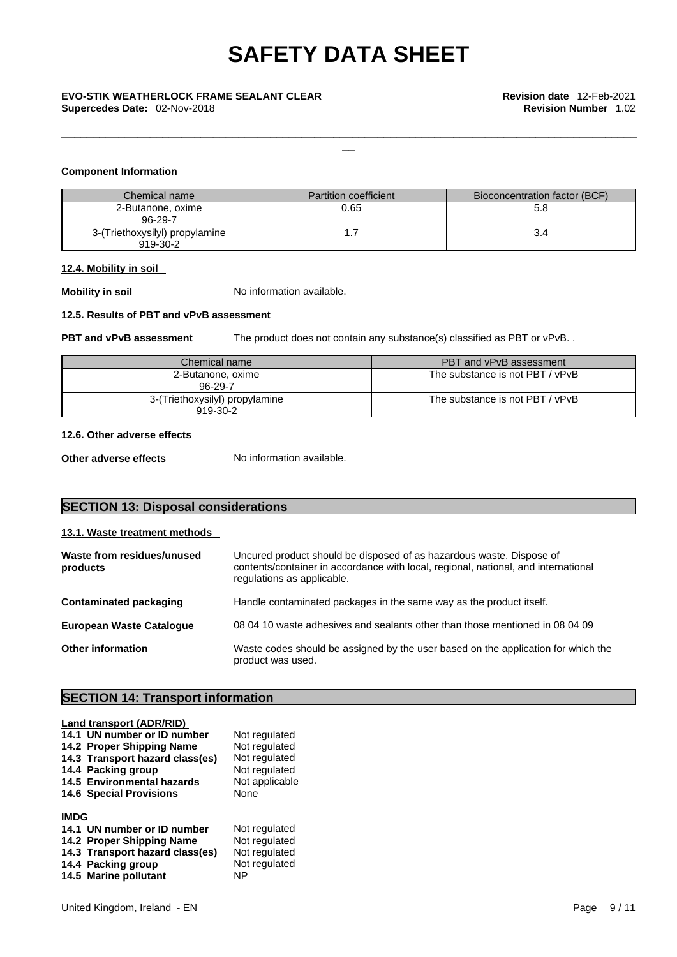#### **Component Information**

| Chemical name                              | Partition coefficient | Bioconcentration factor (BCF) |
|--------------------------------------------|-----------------------|-------------------------------|
| 2-Butanone, oxime<br>96-29-7               | 0.65                  | 5.8                           |
| 3-(Triethoxysilyl) propylamine<br>919-30-2 |                       |                               |

#### **12.4. Mobility in soil**

**Mobility in soil** No information available.

#### **12.5. Results of PBT and vPvB assessment**

**PBT** and **vPvB** assessment The product does not contain any substance(s) classified as PBT or vPvB. .

\_\_\_\_\_\_\_\_\_\_\_\_\_\_\_\_\_\_\_\_\_\_\_\_\_\_\_\_\_\_\_\_\_\_\_\_\_\_\_\_\_\_\_\_\_\_\_\_\_\_\_\_\_\_\_\_\_\_\_\_\_\_\_\_\_\_\_\_\_\_\_\_\_\_\_\_\_\_\_\_\_\_\_\_\_\_\_\_\_\_\_

| Chemical name                              | PBT and vPvB assessment         |  |
|--------------------------------------------|---------------------------------|--|
| 2-Butanone, oxime<br>96-29-7               | The substance is not PBT / vPvB |  |
| 3-(Triethoxysilyl) propylamine<br>919-30-2 | The substance is not PBT / vPvB |  |

#### **12.6. Other adverse effects**

**Other adverse effects** No information available.

## **SECTION 13: Disposal considerations**

#### **13.1. Waste treatment methods**

| Waste from residues/unused<br>products | Uncured product should be disposed of as hazardous waste. Dispose of<br>contents/container in accordance with local, regional, national, and international<br>regulations as applicable. |
|----------------------------------------|------------------------------------------------------------------------------------------------------------------------------------------------------------------------------------------|
| Contaminated packaging                 | Handle contaminated packages in the same way as the product itself.                                                                                                                      |
| <b>European Waste Cataloque</b>        | 08 04 10 waste adhesives and sealants other than those mentioned in 08 04 09                                                                                                             |
| <b>Other information</b>               | Waste codes should be assigned by the user based on the application for which the<br>product was used.                                                                                   |

## **SECTION 14: Transport information**

|             | <b>Land transport (ADR/RID)</b> |                |
|-------------|---------------------------------|----------------|
|             | 14.1 UN number or ID number     | Not regulated  |
|             | 14.2 Proper Shipping Name       | Not regulated  |
|             | 14.3 Transport hazard class(es) | Not regulated  |
|             | 14.4 Packing group              | Not regulated  |
|             | 14.5 Environmental hazards      | Not applicable |
|             | <b>14.6 Special Provisions</b>  | None           |
|             |                                 |                |
| <b>IMDG</b> |                                 |                |
|             | 14.1 UN number or ID number     | Not regulated  |
|             | 14.2 Proper Shipping Name       | Not regulated  |
|             | 14.3 Transport hazard class(es) | Not regulated  |
|             | 14.4 Packing group              | Not regulated  |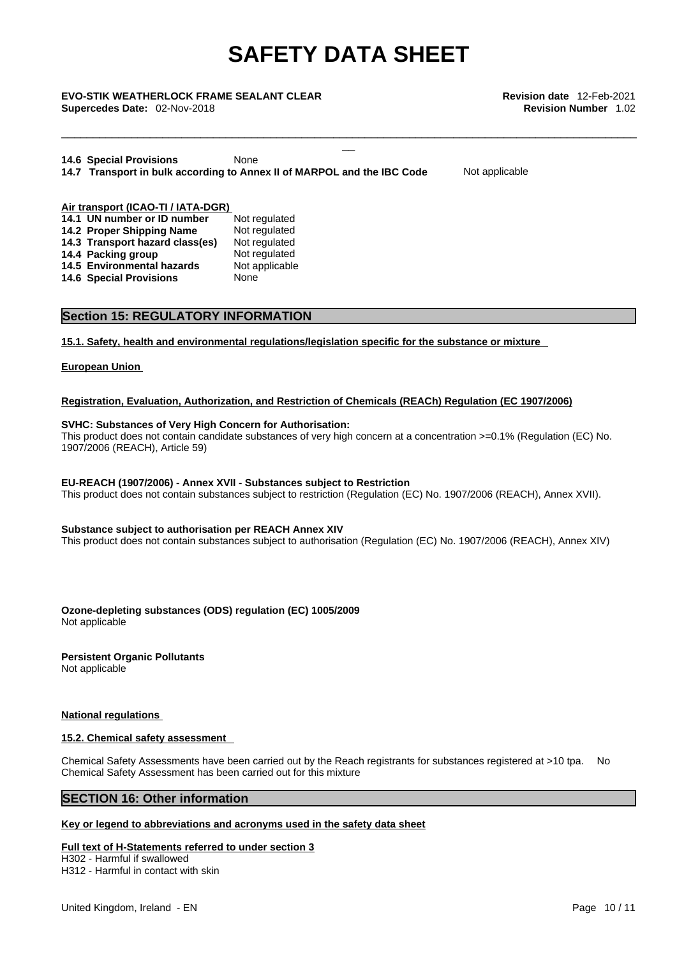\_\_\_\_\_\_\_\_\_\_\_\_\_\_\_\_\_\_\_\_\_\_\_\_\_\_\_\_\_\_\_\_\_\_\_\_\_\_\_\_\_\_\_\_\_\_\_\_\_\_\_\_\_\_\_\_\_\_\_\_\_\_\_\_\_\_\_\_\_\_\_\_\_\_\_\_\_\_\_\_\_\_\_\_\_\_\_\_\_\_\_

# \_\_ **EVO-STIK WEATHERLOCK FRAME SEALANT CLEAR Revision date** 12-Feb-2021

**Supercedes Date:** 02-Nov-2018 **Revision Number** 1.02

**14.6 Special Provisions** None **14.7 Transport in bulk according to Annex II of MARPOL and the IBC Code** Not applicable

#### **Air transport (ICAO-TI / IATA-DGR) 14.1 UN number or ID number** Not regulated **14.2 Proper Shipping Name** Not regulated **14.2 Proper Shipping Name** Not regulated **14.3 Transport hazard class(es)** Not regulated **14.3 Transport hazard class(es) 14.4 Packing group Mot regulated** 14.5 Environmental hazards Not applicable **14.6 Special Provisions** None

## **Section 15: REGULATORY INFORMATION**

**15.1. Safety, health and environmental regulations/legislation specific for the substance or mixture**

#### **European Union**

#### **Registration, Evaluation, Authorization, and Restriction of Chemicals (REACh) Regulation (EC 1907/2006)**

#### **SVHC: Substances of Very High Concern for Authorisation:**

This product does not contain candidate substances of very high concern at a concentration >=0.1% (Regulation (EC) No. 1907/2006 (REACH), Article 59)

#### **EU-REACH (1907/2006) - Annex XVII - Substances subject to Restriction**

This product does not contain substances subject to restriction (Regulation (EC) No. 1907/2006 (REACH), Annex XVII).

#### **Substance subject to authorisation per REACH Annex XIV**

This product does not contain substances subject to authorisation (Regulation (EC) No. 1907/2006 (REACH), Annex XIV)

**Ozone-depleting substances (ODS) regulation (EC) 1005/2009** Not applicable

**Persistent Organic Pollutants** Not applicable

#### **National regulations**

#### **15.2. Chemical safety assessment**

Chemical Safety Assessments have been carried out by the Reach registrants for substances registered at >10 tpa. No Chemical Safety Assessment has been carried out for this mixture

#### **SECTION 16: Other information**

## **Key or legend to abbreviations and acronyms used in the safety data sheet**

## **Full text of H-Statements referred to under section 3**

H302 - Harmful if swallowed H312 - Harmful in contact with skin